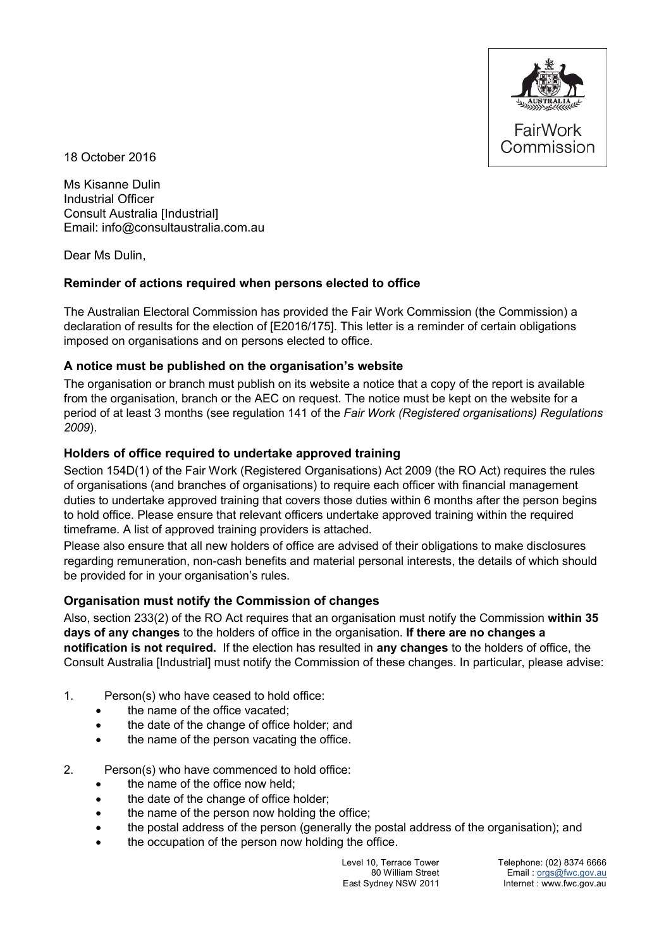

18 October 2016

Ms Kisanne Dulin Industrial Officer Consult Australia [Industrial] Email: info@consultaustralia.com.au

Dear Ms Dulin,

#### **Reminder of actions required when persons elected to office**

The Australian Electoral Commission has provided the Fair Work Commission (the Commission) a declaration of results for the election of [E2016/175]. This letter is a reminder of certain obligations imposed on organisations and on persons elected to office.

#### **A notice must be published on the organisation's website**

The organisation or branch must publish on its website a notice that a copy of the report is available from the organisation, branch or the AEC on request. The notice must be kept on the website for a period of at least 3 months (see regulation 141 of the *Fair Work (Registered organisations) Regulations 2009*).

#### **Holders of office required to undertake approved training**

Section 154D(1) of the Fair Work (Registered Organisations) Act 2009 (the RO Act) requires the rules of organisations (and branches of organisations) to require each officer with financial management duties to undertake approved training that covers those duties within 6 months after the person begins to hold office. Please ensure that relevant officers undertake approved training within the required timeframe. A list of approved training providers is attached.

Please also ensure that all new holders of office are advised of their obligations to make disclosures regarding remuneration, non-cash benefits and material personal interests, the details of which should be provided for in your organisation's rules.

#### **Organisation must notify the Commission of changes**

Also, section 233(2) of the RO Act requires that an organisation must notify the Commission **within 35 days of any changes** to the holders of office in the organisation. **If there are no changes a notification is not required.** If the election has resulted in **any changes** to the holders of office, the Consult Australia [Industrial] must notify the Commission of these changes. In particular, please advise:

- 1. Person(s) who have ceased to hold office:
	- the name of the office vacated;
	- the date of the change of office holder; and
	- the name of the person vacating the office.
- 2. Person(s) who have commenced to hold office:
	- the name of the office now held;
	- the date of the change of office holder;
	- the name of the person now holding the office;
	- the postal address of the person (generally the postal address of the organisation); and
	- the occupation of the person now holding the office.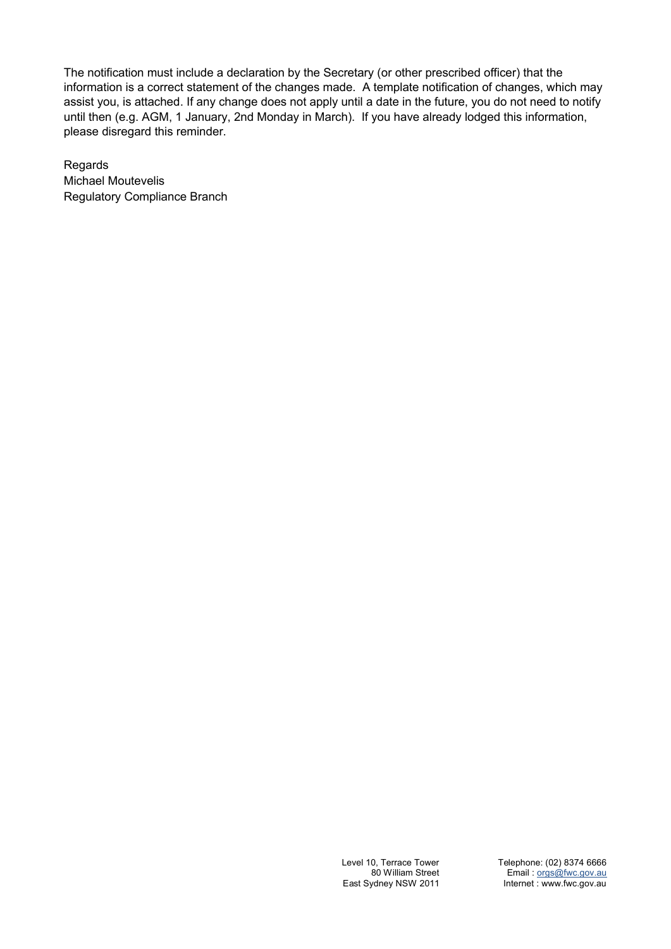The notification must include a declaration by the Secretary (or other prescribed officer) that the information is a correct statement of the changes made. A template notification of changes, which may assist you, is attached. If any change does not apply until a date in the future, you do not need to notify until then (e.g. AGM, 1 January, 2nd Monday in March). If you have already lodged this information, please disregard this reminder.

Regards Michael Moutevelis Regulatory Compliance Branch

> Level 10, Terrace Tower 80 William Street East Sydney NSW 2011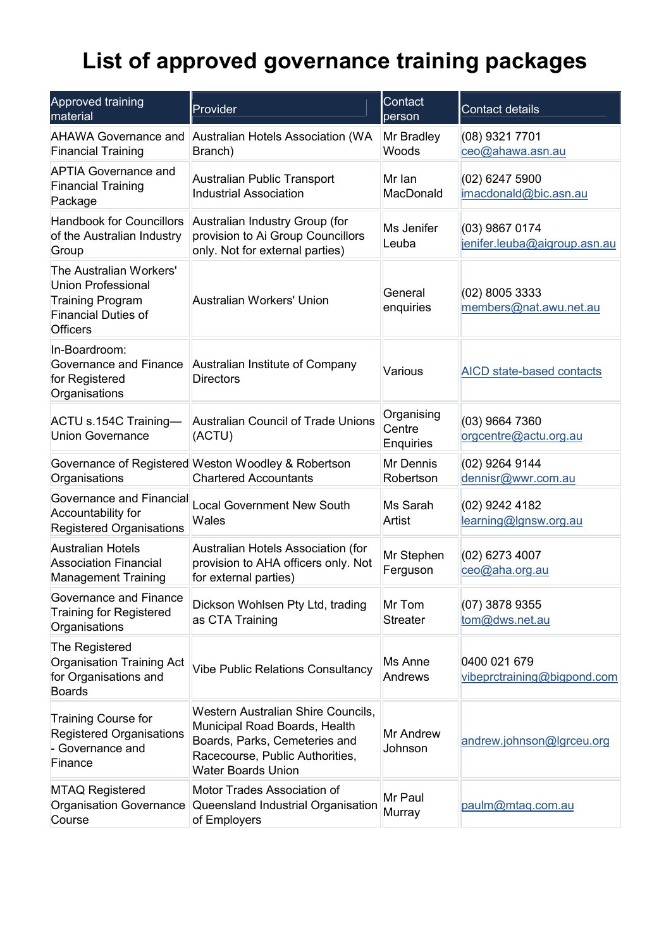# **List of approved governance training packages**

| Approved training<br>material                                                                                                    | Provider                                                                                                                                                             | Contact<br>person                 | <b>Contact details</b>                         |
|----------------------------------------------------------------------------------------------------------------------------------|----------------------------------------------------------------------------------------------------------------------------------------------------------------------|-----------------------------------|------------------------------------------------|
| <b>AHAWA Governance and</b><br><b>Financial Training</b>                                                                         | Australian Hotels Association (WA<br>Branch)                                                                                                                         | Mr Bradley<br>Woods               | (08) 9321 7701<br>ceo@ahawa.asn.au             |
| <b>APTIA Governance and</b><br><b>Financial Training</b><br>Package                                                              | Australian Public Transport<br><b>Industrial Association</b>                                                                                                         | Mr Ian<br>MacDonald               | $(02)$ 6247 5900<br>imacdonald@bic.asn.au      |
| <b>Handbook for Councillors</b><br>of the Australian Industry<br>Group                                                           | Australian Industry Group (for<br>provision to Ai Group Councillors<br>only. Not for external parties)                                                               | Ms Jenifer<br>Leuba               | (03) 9867 0174<br>jenifer.leuba@aigroup.asn.au |
| The Australian Workers'<br><b>Union Professional</b><br><b>Training Program</b><br><b>Financial Duties of</b><br><b>Officers</b> | Australian Workers' Union                                                                                                                                            | General<br>enquiries              | (02) 8005 3333<br>members@nat.awu.net.au       |
| In-Boardroom:<br>Governance and Finance<br>for Registered<br>Organisations                                                       | Australian Institute of Company<br>Various<br><b>Directors</b>                                                                                                       |                                   | AICD state-based contacts                      |
| ACTU s.154C Training-<br><b>Union Governance</b>                                                                                 | Australian Council of Trade Unions<br>(ACTU)                                                                                                                         | Organising<br>Centre<br>Enquiries | (03) 9664 7360<br>orgcentre@actu.org.au        |
| Organisations                                                                                                                    | Governance of Registered Weston Woodley & Robertson<br><b>Chartered Accountants</b>                                                                                  | Mr Dennis<br>Robertson            | (02) 9264 9144<br>dennisr@wwr.com.au           |
| Governance and Financial<br>Accountability for<br><b>Registered Organisations</b>                                                | <b>Local Government New South</b><br>Wales                                                                                                                           | Ms Sarah<br>Artist                | (02) 9242 4182<br>learning@lgnsw.org.au        |
| Australian Hotels<br><b>Association Financial</b><br><b>Management Training</b>                                                  | Australian Hotels Association (for<br>provision to AHA officers only. Not<br>for external parties)                                                                   | Mr Stephen<br>Ferguson            | $(02)$ 6273 4007<br>ceo@aha.org.au             |
| Governance and Finance<br><b>Training for Registered</b><br>Organisations                                                        | Dickson Wohlsen Pty Ltd, trading<br>as CTA Training                                                                                                                  | Mr Tom<br><b>Streater</b>         | (07) 3878 9355<br>tom@dws.net.au               |
| The Registered<br>Organisation Training Act<br>for Organisations and<br><b>Boards</b>                                            | <b>Vibe Public Relations Consultancy</b>                                                                                                                             | Ms Anne<br>Andrews                | 0400 021 679<br>vibeprctraining@bigpond.com    |
| Training Course for<br><b>Registered Organisations</b><br>- Governance and<br>Finance                                            | Western Australian Shire Councils,<br>Municipal Road Boards, Health<br>Boards, Parks, Cemeteries and<br>Racecourse, Public Authorities,<br><b>Water Boards Union</b> | Mr Andrew<br>Johnson              | andrew.johnson@lgrceu.org                      |
| <b>MTAQ Registered</b><br><b>Organisation Governance</b><br>Course                                                               | Motor Trades Association of<br>Queensland Industrial Organisation<br>of Employers                                                                                    | Mr Paul<br>Murray                 | paulm@mtaq.com.au                              |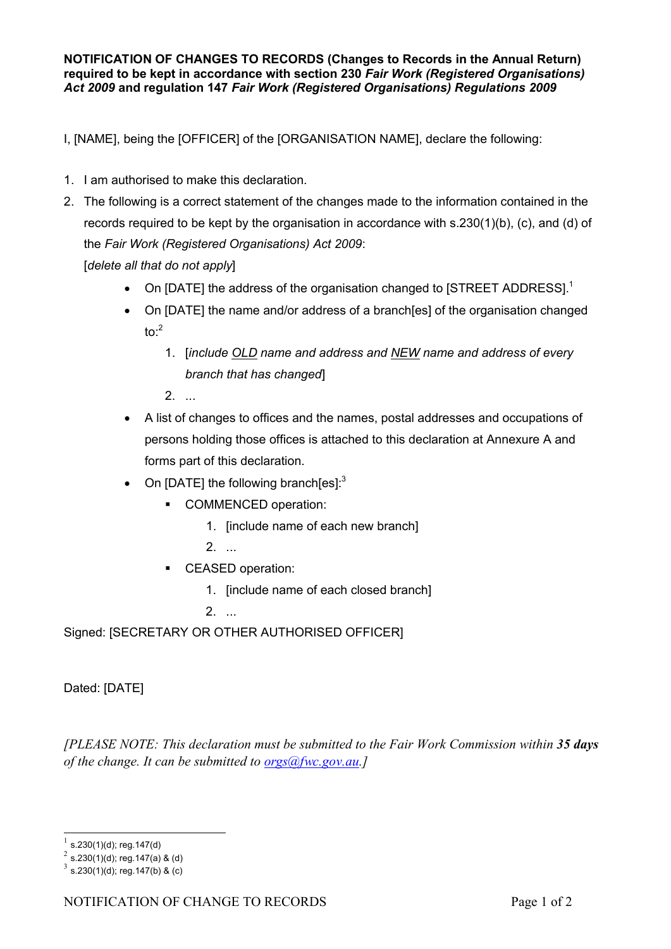**NOTIFICATION OF CHANGES TO RECORDS (Changes to Records in the Annual Return) required to be kept in accordance with section 230** *Fair Work (Registered Organisations) Act 2009* **and regulation 147** *Fair Work (Registered Organisations) Regulations 2009*

I, [NAME], being the [OFFICER] of the [ORGANISATION NAME], declare the following:

- 1. I am authorised to make this declaration.
- 2. The following is a correct statement of the changes made to the information contained in the records required to be kept by the organisation in accordance with s.230(1)(b), (c), and (d) of the *Fair Work (Registered Organisations) Act 2009*: [*delete all that do not apply*]
	- On [DATE] the address of the organisation changed to [STREET ADDRESS].<sup>[1](#page-3-0)</sup>
	- On [DATE] the name and/or address of a branch[es] of the organisation changed  $to<sup>.2</sup>$  $to<sup>.2</sup>$  $to<sup>.2</sup>$ 
		- 1. [*include OLD name and address and NEW name and address of every branch that has changed*]
		- $2<sup>1</sup>$
	- A list of changes to offices and the names, postal addresses and occupations of persons holding those offices is attached to this declaration at Annexure A and forms part of this declaration.
	- On [DATE] the following branch[es]: $3$ 
		- **COMMENCED operation:** 
			- 1. [include name of each new branch]
			- 2. ...
		- **CEASED operation:** 
			- 1. [include name of each closed branch]

2. ...

Signed: [SECRETARY OR OTHER AUTHORISED OFFICER]

Dated: [DATE]

*[PLEASE NOTE: This declaration must be submitted to the Fair Work Commission within 35 days of the change. It can be submitted to [orgs@fwc.gov.au.](mailto:orgs@fwc.gov.au)]*

-

<span id="page-3-0"></span><sup>1</sup> s.230(1)(d); reg.147(d)

<span id="page-3-1"></span><sup>2</sup> s.230(1)(d); reg.147(a) & (d)

<span id="page-3-2"></span> $3$  s.230(1)(d); reg.147(b) & (c)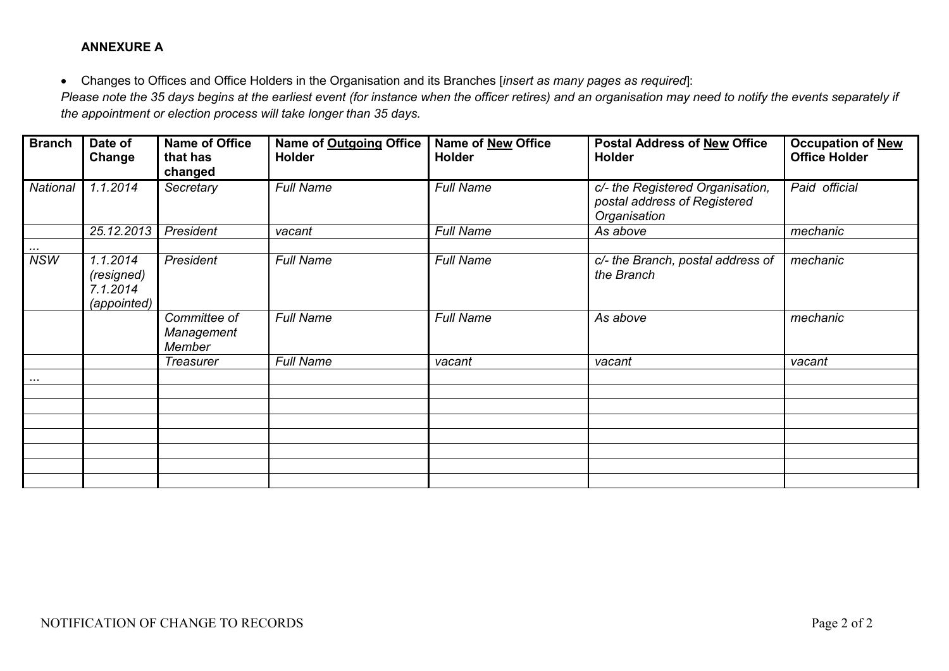#### **ANNEXURE A**

 Changes to Offices and Office Holders in the Organisation and its Branches [*insert as many pages as required*]: *Please note the 35 days begins at the earliest event (for instance when the officer retires) and an organisation may need to notify the events separately if the appointment or election process will take longer than 35 days.* 

| <b>Branch</b> | Date of<br>Change                                 | <b>Name of Office</b><br>that has<br>changed | Name of Outgoing Office<br><b>Holder</b> | <b>Name of New Office</b><br><b>Holder</b> | <b>Postal Address of New Office</b><br><b>Holder</b>                             | <b>Occupation of New</b><br><b>Office Holder</b> |
|---------------|---------------------------------------------------|----------------------------------------------|------------------------------------------|--------------------------------------------|----------------------------------------------------------------------------------|--------------------------------------------------|
| National      | 1.1.2014                                          | Secretary                                    | <b>Full Name</b>                         | <b>Full Name</b>                           | c/- the Registered Organisation,<br>postal address of Registered<br>Organisation | Paid official                                    |
|               | 25.12.2013                                        | President                                    | vacant                                   | <b>Full Name</b>                           | As above                                                                         | mechanic                                         |
| $\cdots$      |                                                   |                                              |                                          |                                            |                                                                                  |                                                  |
| <b>NSW</b>    | 1.1.2014<br>(resigned)<br>7.1.2014<br>(appointed) | President                                    | <b>Full Name</b>                         | <b>Full Name</b>                           | c/- the Branch, postal address of<br>the Branch                                  | mechanic                                         |
|               |                                                   | Committee of<br>Management<br>Member         | <b>Full Name</b>                         | <b>Full Name</b>                           | As above                                                                         | mechanic                                         |
|               |                                                   | <b>Treasurer</b>                             | <b>Full Name</b>                         | vacant                                     | vacant                                                                           | vacant                                           |
| $\cdots$      |                                                   |                                              |                                          |                                            |                                                                                  |                                                  |
|               |                                                   |                                              |                                          |                                            |                                                                                  |                                                  |
|               |                                                   |                                              |                                          |                                            |                                                                                  |                                                  |
|               |                                                   |                                              |                                          |                                            |                                                                                  |                                                  |
|               |                                                   |                                              |                                          |                                            |                                                                                  |                                                  |
|               |                                                   |                                              |                                          |                                            |                                                                                  |                                                  |
|               |                                                   |                                              |                                          |                                            |                                                                                  |                                                  |
|               |                                                   |                                              |                                          |                                            |                                                                                  |                                                  |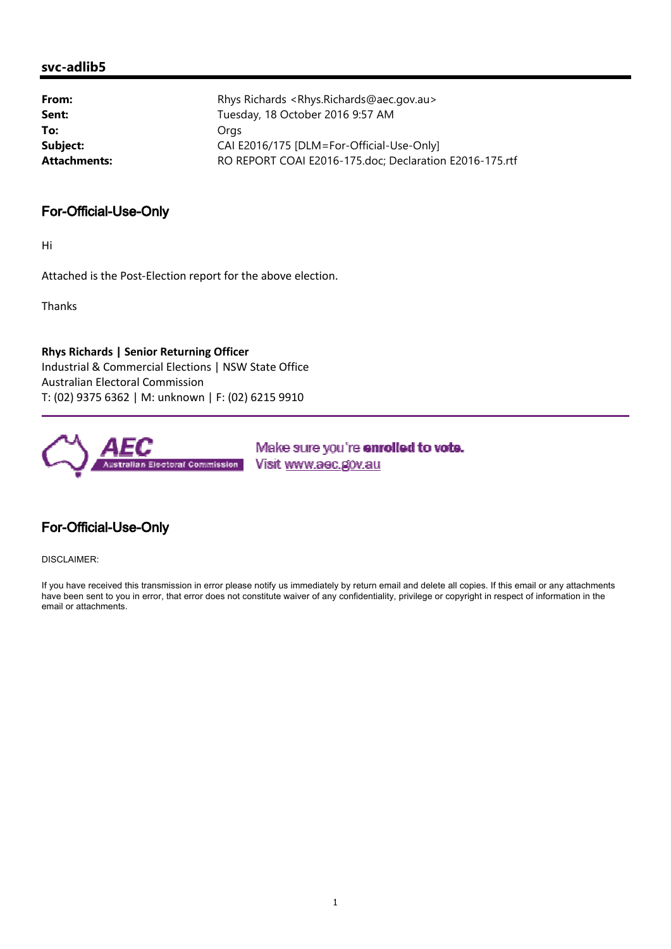#### **svc-adlib5**

| From:        | Rhys Richards <rhys.richards@aec.gov.au></rhys.richards@aec.gov.au> |
|--------------|---------------------------------------------------------------------|
| Sent:        | Tuesday, 18 October 2016 9:57 AM                                    |
| To:          | Oras                                                                |
| Subject:     | CAI E2016/175 [DLM=For-Official-Use-Only]                           |
| Attachments: | RO REPORT COAI E2016-175.doc; Declaration E2016-175.rtf             |
|              |                                                                     |

#### For-Official-Use-Only

Hi

Attached is the Post-Election report for the above election.

Thanks

**Rhys Richards | Senior Returning Officer** Industrial & Commercial Elections | NSW State Office Australian Electoral Commission T: (02) 9375 6362 | M: unknown | F: (02) 6215 9910



Make sure you're enrolled to vote. Visit www.aec.gov.au

### For-Official-Use-Only

DISCLAIMER:

If you have received this transmission in error please notify us immediately by return email and delete all copies. If this email or any attachments have been sent to you in error, that error does not constitute waiver of any confidentiality, privilege or copyright in respect of information in the email or attachments.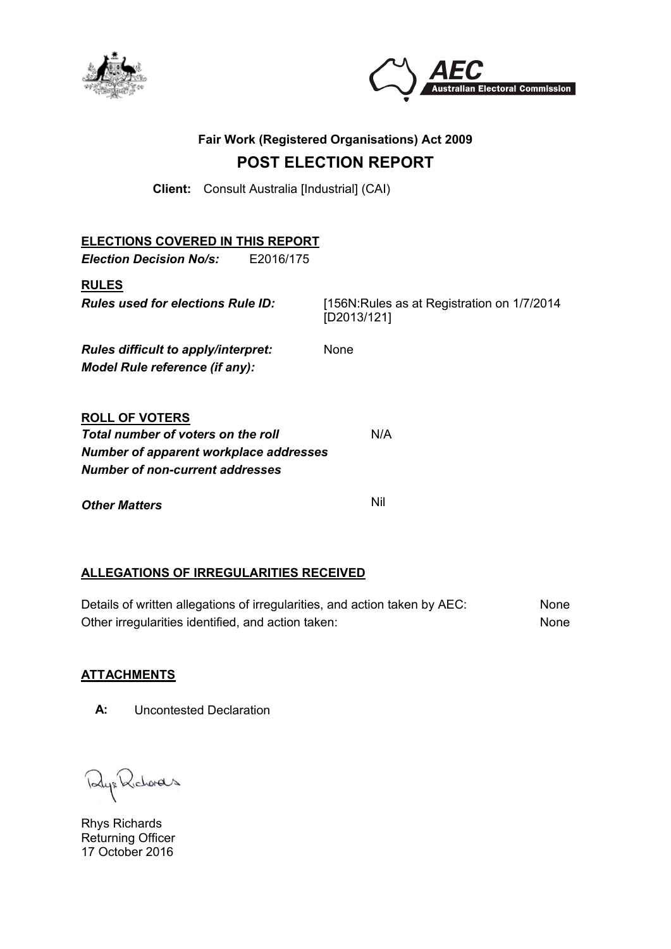



## **Fair Work (Registered Organisations) Act 2009 POST ELECTION REPORT**

**Client:** Consult Australia [Industrial] (CAI)

| <b>ELECTIONS COVERED IN THIS REPORT</b>                                                                                                         |                                                             |
|-------------------------------------------------------------------------------------------------------------------------------------------------|-------------------------------------------------------------|
| <b>Election Decision No/s:</b><br>E2016/175                                                                                                     |                                                             |
| <b>RULES</b><br><b>Rules used for elections Rule ID:</b>                                                                                        | [156N: Rules as at Registration on 1/7/2014]<br>[D2013/121] |
| Rules difficult to apply/interpret:<br>Model Rule reference (if any):                                                                           | None                                                        |
| <b>ROLL OF VOTERS</b><br>Total number of voters on the roll<br><b>Number of apparent workplace addresses</b><br>Number of non-current addresses | N/A                                                         |
| <b>Other Matters</b>                                                                                                                            | Nil                                                         |

#### **ALLEGATIONS OF IRREGULARITIES RECEIVED**

Details of written allegations of irregularities, and action taken by AEC: None Other irregularities identified, and action taken: None

#### **ATTACHMENTS**

**A:** Uncontested Declaration

Ry: Richards

Rhys Richards Returning Officer 17 October 2016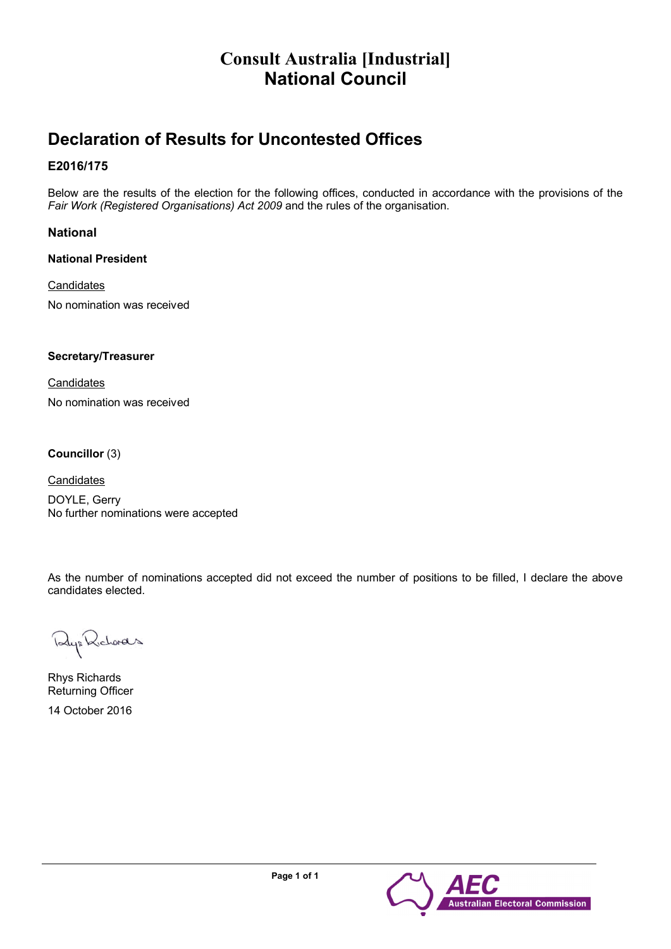# **Consult Australia [Industrial] National Council**

# **Declaration of Results for Uncontested Offices**

#### **E2016/175**

Below are the results of the election for the following offices, conducted in accordance with the provisions of the *Fair Work (Registered Organisations) Act 2009* and the rules of the organisation.

#### **National**

**National President** 

#### **Candidates**

No nomination was received

#### **Secretary/Treasurer**

**Candidates** No nomination was received

#### **Councillor** (3)

**Candidates** 

DOYLE, Gerry No further nominations were accepted

As the number of nominations accepted did not exceed the number of positions to be filled, I declare the above candidates elected.

Rup Richards

Rhys Richards Returning Officer

14 October 2016

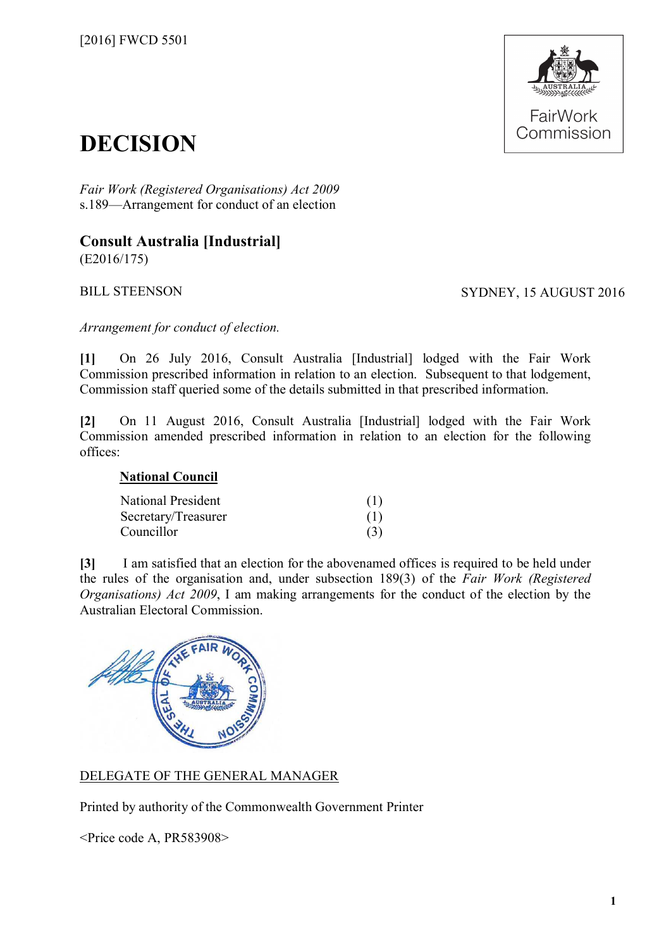

# **DECISION**

*Fair Work (Registered Organisations) Act 2009* s.189—Arrangement for conduct of an election

# **Consult Australia [Industrial]**

(E2016/175)

BILL STEENSON SYDNEY, 15 AUGUST 2016

*Arrangement for conduct of election.*

**[1]** On 26 July 2016, Consult Australia [Industrial] lodged with the Fair Work Commission prescribed information in relation to an election. Subsequent to that lodgement, Commission staff queried some of the details submitted in that prescribed information.

**[2]** On 11 August 2016, Consult Australia [Industrial] lodged with the Fair Work Commission amended prescribed information in relation to an election for the following offices:

#### **National Council**

| <b>National President</b> | (1) |
|---------------------------|-----|
| Secretary/Treasurer       | (1) |
| Councillor                | (3) |

**[3]** I am satisfied that an election for the abovenamed offices is required to be held under the rules of the organisation and, under subsection 189(3) of the *Fair Work (Registered Organisations) Act 2009*, I am making arrangements for the conduct of the election by the Australian Electoral Commission.



### DELEGATE OF THE GENERAL MANAGER

Printed by authority of the Commonwealth Government Printer

<Price code A, PR583908>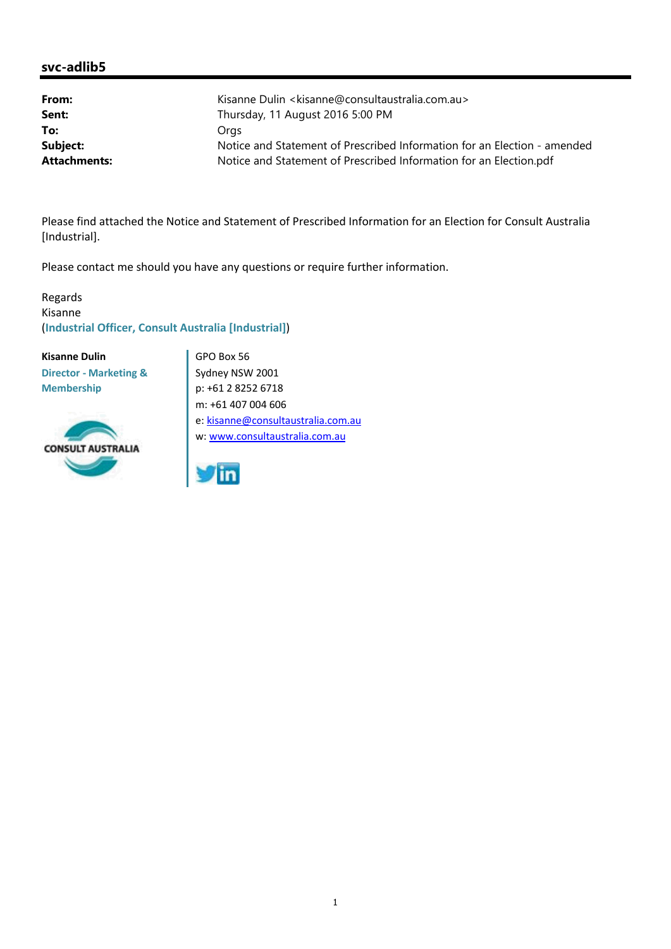#### **svc-adlib5**

| From:               | Kisanne Dulin < kisanne@consultaustralia.com.au>                         |
|---------------------|--------------------------------------------------------------------------|
| Sent:               | Thursday, 11 August 2016 5:00 PM                                         |
| To:                 | Orgs                                                                     |
| Subject:            | Notice and Statement of Prescribed Information for an Election - amended |
| <b>Attachments:</b> | Notice and Statement of Prescribed Information for an Election.pdf       |

Please find attached the Notice and Statement of Prescribed Information for an Election for Consult Australia [Industrial].

Please contact me should you have any questions or require further information.

Regards Kisanne (**Industrial Officer, Consult Australia [Industrial]**)

**Kisanne Dulin Director - Marketing & Membership**



GPO Box 56 Sydney NSW 2001 p: +61 2 8252 6718 m: +61 407 004 606 e: kisanne@consultaustralia.com.au w: www.consultaustralia.com.au

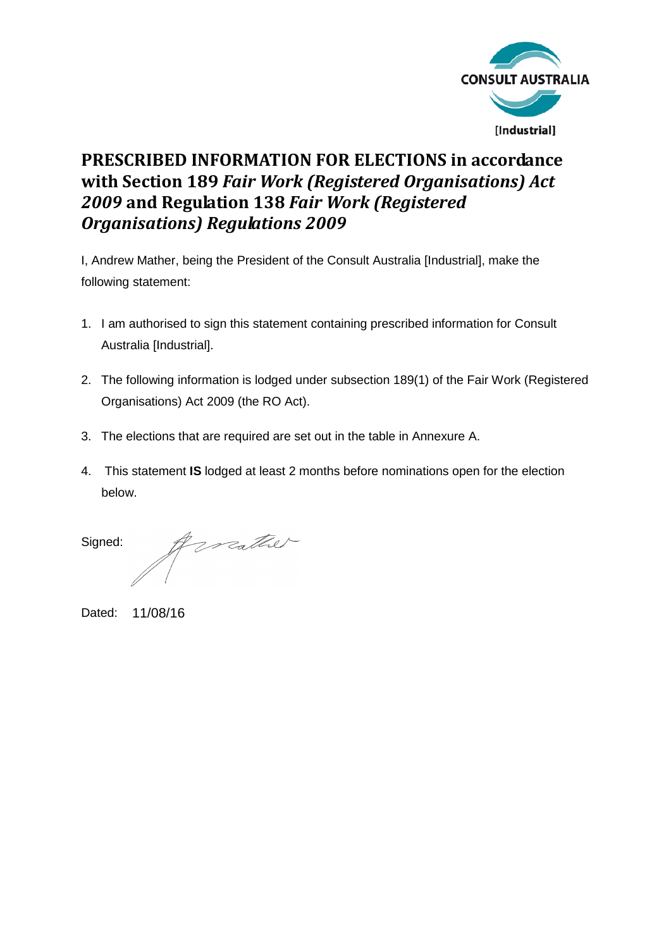

# **PRESCRIBED INFORMATION FOR ELECTIONS in accordance with Section 189** *Fair Work (Registered Organisations) Act 2009* **and Regulation 138** *Fair Work (Registered Organisations) Regulations 2009*

I, Andrew Mather, being the President of the Consult Australia [Industrial], make the following statement:

- 1. I am authorised to sign this statement containing prescribed information for Consult Australia [Industrial].
- 2. The following information is lodged under subsection 189(1) of the Fair Work (Registered Organisations) Act 2009 (the RO Act).
- 3. The elections that are required are set out in the table in Annexure A.
- 4. This statement **IS** lodged at least 2 months before nominations open for the election below.

torather Signed:

Dated: 11/08/16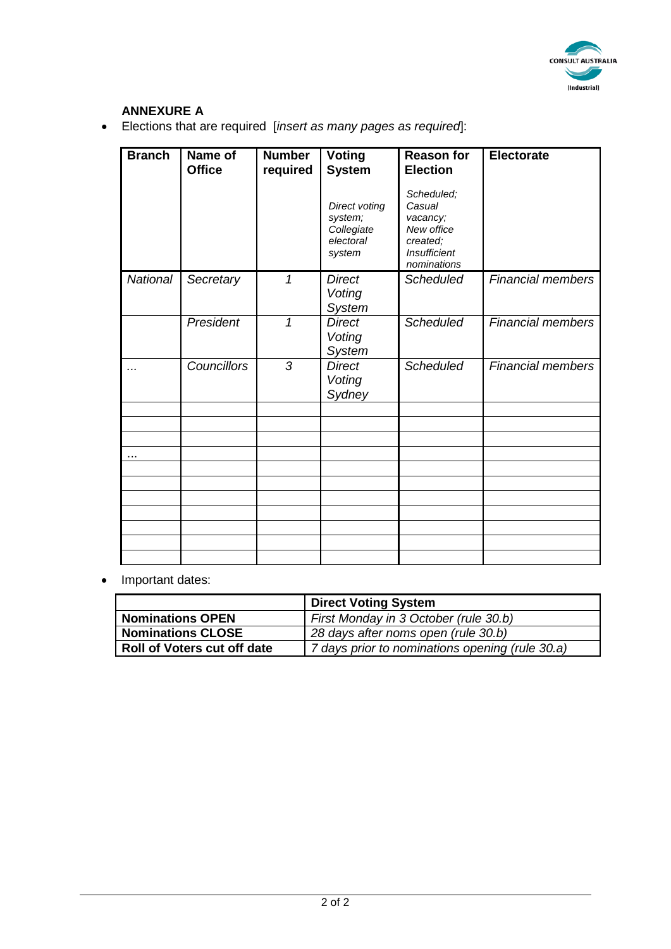

### **ANNEXURE A**

• Elections that are required [*insert as many pages as required*]:

| <b>Branch</b>   | Name of<br><b>Office</b> | <b>Number</b><br>required | <b>Voting</b><br><b>System</b><br>Direct voting<br>system;<br>Collegiate<br>electoral<br>system | <b>Reason for</b><br><b>Election</b><br>Scheduled;<br>Casual<br>vacancy;<br>New office<br>created;<br><b>Insufficient</b><br>nominations | <b>Electorate</b>        |
|-----------------|--------------------------|---------------------------|-------------------------------------------------------------------------------------------------|------------------------------------------------------------------------------------------------------------------------------------------|--------------------------|
| <b>National</b> | Secretary                | 1                         | <b>Direct</b><br>Voting<br>System                                                               | <b>Scheduled</b>                                                                                                                         | <b>Financial members</b> |
|                 | President                | 1                         | <b>Direct</b><br>Voting<br><b>System</b>                                                        | <b>Scheduled</b>                                                                                                                         | <b>Financial members</b> |
|                 | <b>Councillors</b>       | 3                         | <b>Direct</b><br>Voting<br>Sydney                                                               | <b>Scheduled</b>                                                                                                                         | <b>Financial members</b> |
|                 |                          |                           |                                                                                                 |                                                                                                                                          |                          |
| $\cdots$        |                          |                           |                                                                                                 |                                                                                                                                          |                          |
|                 |                          |                           |                                                                                                 |                                                                                                                                          |                          |
|                 |                          |                           |                                                                                                 |                                                                                                                                          |                          |
|                 |                          |                           |                                                                                                 |                                                                                                                                          |                          |
|                 |                          |                           |                                                                                                 |                                                                                                                                          |                          |
|                 |                          |                           |                                                                                                 |                                                                                                                                          |                          |

• Important dates:

|                             | <b>Direct Voting System</b>                     |
|-----------------------------|-------------------------------------------------|
| Nominations OPEN            | First Monday in 3 October (rule 30.b)           |
| <b>Nominations CLOSE</b>    | 28 days after noms open (rule 30.b)             |
| Roll of Voters cut off date | 7 days prior to nominations opening (rule 30.a) |